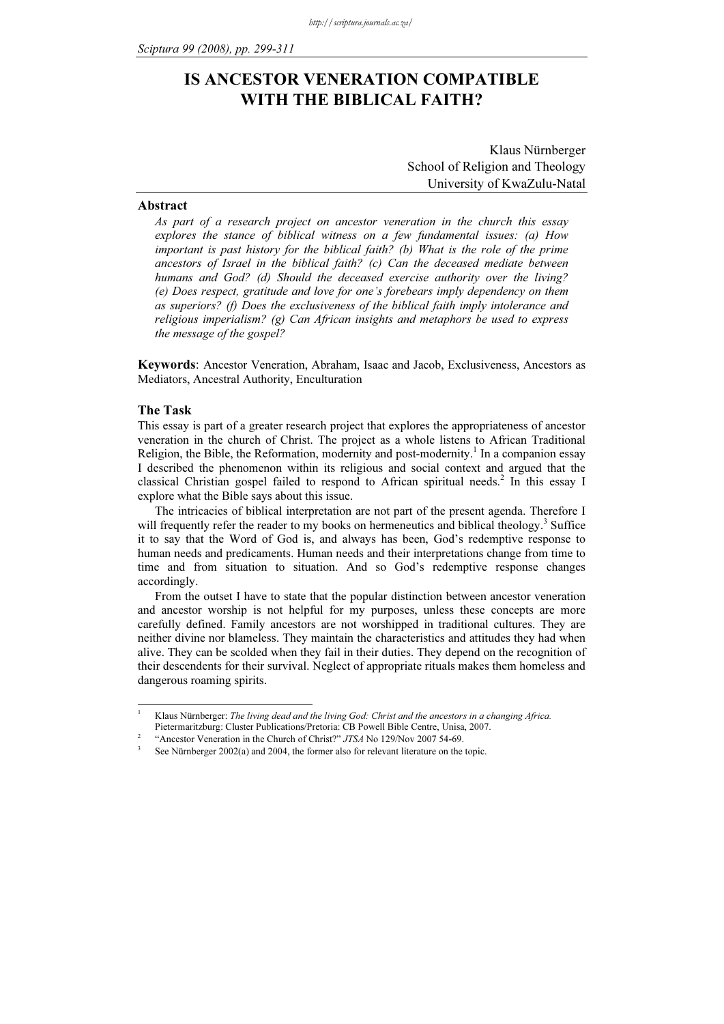# IS ANCESTOR VENERATION COMPATIBLE WITH THE BIBLICAL FAITH?

Klaus Nürnberger School of Religion and Theology University of KwaZulu-Natal

# Abstract

As part of a research project on ancestor veneration in the church this essay explores the stance of biblical witness on a few fundamental issues: (a) How important is past history for the biblical faith? (b) What is the role of the prime ancestors of Israel in the biblical faith? (c) Can the deceased mediate between humans and God? (d) Should the deceased exercise authority over the living? (e) Does respect, gratitude and love for one's forebears imply dependency on them as superiors? (f) Does the exclusiveness of the biblical faith imply intolerance and religious imperialism? (g) Can African insights and metaphors be used to express the message of the gospel?

Keywords: Ancestor Veneration, Abraham, Isaac and Jacob, Exclusiveness, Ancestors as Mediators, Ancestral Authority, Enculturation

# The Task

 $\frac{1}{1}$ 

This essay is part of a greater research project that explores the appropriateness of ancestor veneration in the church of Christ. The project as a whole listens to African Traditional Religion, the Bible, the Reformation, modernity and post-modernity.<sup>1</sup> In a companion essay I described the phenomenon within its religious and social context and argued that the classical Christian gospel failed to respond to African spiritual needs.<sup>2</sup> In this essay I explore what the Bible says about this issue.

The intricacies of biblical interpretation are not part of the present agenda. Therefore I will frequently refer the reader to my books on hermeneutics and biblical theology.<sup>3</sup> Suffice it to say that the Word of God is, and always has been, God's redemptive response to human needs and predicaments. Human needs and their interpretations change from time to time and from situation to situation. And so God's redemptive response changes accordingly.

From the outset I have to state that the popular distinction between ancestor veneration and ancestor worship is not helpful for my purposes, unless these concepts are more carefully defined. Family ancestors are not worshipped in traditional cultures. They are neither divine nor blameless. They maintain the characteristics and attitudes they had when alive. They can be scolded when they fail in their duties. They depend on the recognition of their descendents for their survival. Neglect of appropriate rituals makes them homeless and dangerous roaming spirits.

Klaus Nürnberger: The living dead and the living God: Christ and the ancestors in a changing Africa. Pietermaritzburg: Cluster Publications/Pretoria: CB Powell Bible Centre, Unisa, 2007.

<sup>&</sup>quot;Ancestor Veneration in the Church of Christ?" JTSA No 129/Nov 2007 54-69.

See Nürnberger 2002(a) and 2004, the former also for relevant literature on the topic.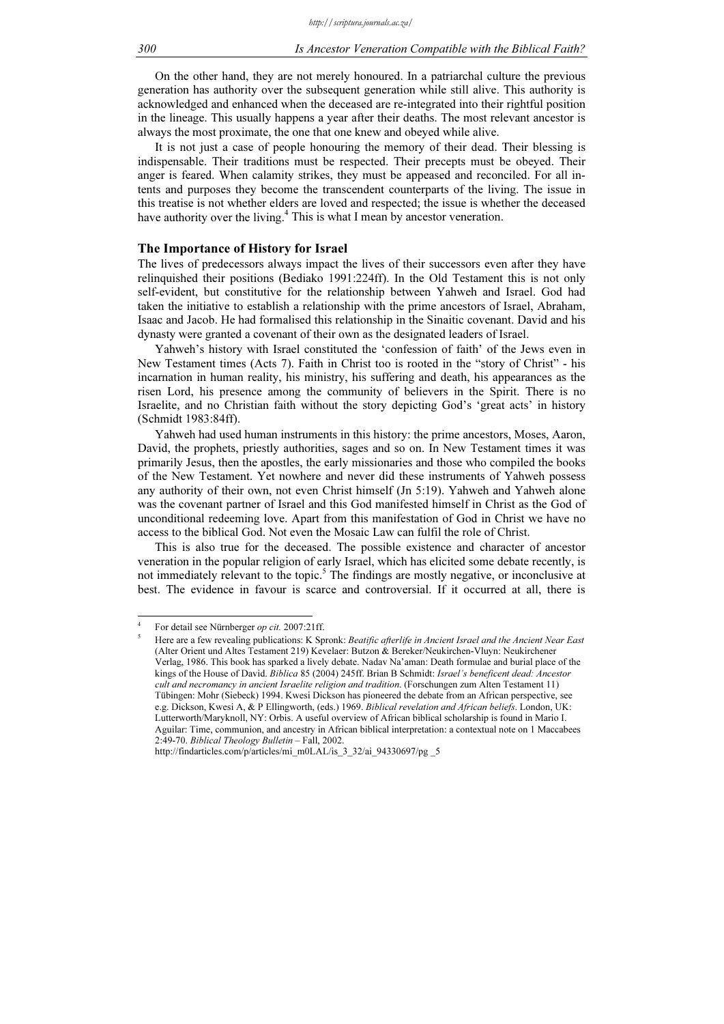On the other hand, they are not merely honoured. In a patriarchal culture the previous generation has authority over the subsequent generation while still alive. This authority is acknowledged and enhanced when the deceased are re-integrated into their rightful position in the lineage. This usually happens a year after their deaths. The most relevant ancestor is always the most proximate, the one that one knew and obeyed while alive.

It is not just a case of people honouring the memory of their dead. Their blessing is indispensable. Their traditions must be respected. Their precepts must be obeyed. Their anger is feared. When calamity strikes, they must be appeased and reconciled. For all intents and purposes they become the transcendent counterparts of the living. The issue in this treatise is not whether elders are loved and respected; the issue is whether the deceased have authority over the living.<sup>4</sup> This is what I mean by ancestor veneration.

# The Importance of History for Israel

The lives of predecessors always impact the lives of their successors even after they have relinquished their positions (Bediako 1991:224ff). In the Old Testament this is not only self-evident, but constitutive for the relationship between Yahweh and Israel. God had taken the initiative to establish a relationship with the prime ancestors of Israel, Abraham, Isaac and Jacob. He had formalised this relationship in the Sinaitic covenant. David and his dynasty were granted a covenant of their own as the designated leaders of Israel.

Yahweh's history with Israel constituted the 'confession of faith' of the Jews even in New Testament times (Acts 7). Faith in Christ too is rooted in the "story of Christ" - his incarnation in human reality, his ministry, his suffering and death, his appearances as the risen Lord, his presence among the community of believers in the Spirit. There is no Israelite, and no Christian faith without the story depicting God's 'great acts' in history (Schmidt 1983:84ff).

Yahweh had used human instruments in this history: the prime ancestors, Moses, Aaron, David, the prophets, priestly authorities, sages and so on. In New Testament times it was primarily Jesus, then the apostles, the early missionaries and those who compiled the books of the New Testament. Yet nowhere and never did these instruments of Yahweh possess any authority of their own, not even Christ himself (Jn 5:19). Yahweh and Yahweh alone was the covenant partner of Israel and this God manifested himself in Christ as the God of unconditional redeeming love. Apart from this manifestation of God in Christ we have no access to the biblical God. Not even the Mosaic Law can fulfil the role of Christ.

This is also true for the deceased. The possible existence and character of ancestor veneration in the popular religion of early Israel, which has elicited some debate recently, is not immediately relevant to the topic.<sup>5</sup> The findings are mostly negative, or inconclusive at best. The evidence in favour is scarce and controversial. If it occurred at all, there is

-

<sup>4</sup> For detail see Nürnberger op cit. 2007:21ff. 5

Here are a few revealing publications: K Spronk: Beatific afterlife in Ancient Israel and the Ancient Near East (Alter Orient und Altes Testament 219) Kevelaer: Butzon & Bereker/Neukirchen-Vluyn: Neukirchener Verlag, 1986. This book has sparked a lively debate. Nadav Na'aman: Death formulae and burial place of the kings of the House of David. Biblica 85 (2004) 245ff. Brian B Schmidt: Israel's beneficent dead: Ancestor cult and necromancy in ancient Israelite religion and tradition. (Forschungen zum Alten Testament 11) Tübingen: Mohr (Siebeck) 1994. Kwesi Dickson has pioneered the debate from an African perspective, see e.g. Dickson, Kwesi A, & P Ellingworth, (eds.) 1969. Biblical revelation and African beliefs. London, UK: Lutterworth/Maryknoll, NY: Orbis. A useful overview of African biblical scholarship is found in Mario I. Aguilar: Time, communion, and ancestry in African biblical interpretation: a contextual note on 1 Maccabees 2:49-70. Biblical Theology Bulletin – Fall, 2002.

http://findarticles.com/p/articles/mi\_m0LAL/is\_3\_32/ai\_94330697/pg \_5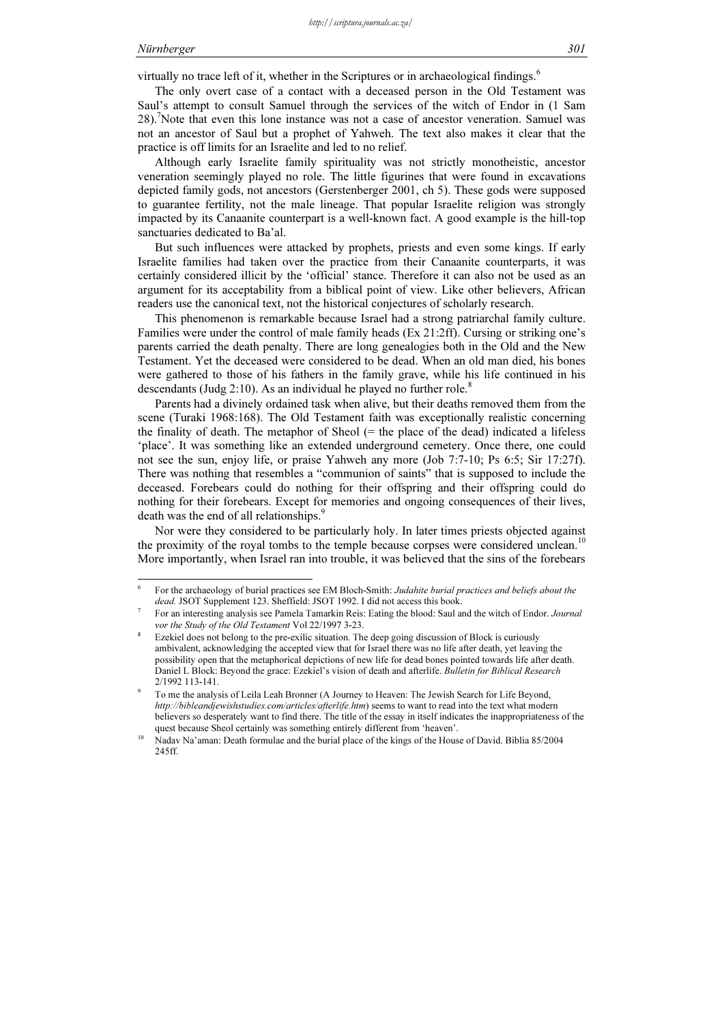-

virtually no trace left of it, whether in the Scriptures or in archaeological findings.<sup>6</sup>  $\overline{a}$ 

The only overt case of a contact with a deceased person in the Old Testament was Saul's attempt to consult Samuel through the services of the witch of Endor in (1 Sam 28).<sup>7</sup> Note that even this lone instance was not a case of ancestor veneration. Samuel was not an ancestor of Saul but a prophet of Yahweh. The text also makes it clear that the practice is off limits for an Israelite and led to no relief.

Although early Israelite family spirituality was not strictly monotheistic, ancestor veneration seemingly played no role. The little figurines that were found in excavations depicted family gods, not ancestors (Gerstenberger 2001, ch 5). These gods were supposed to guarantee fertility, not the male lineage. That popular Israelite religion was strongly impacted by its Canaanite counterpart is a well-known fact. A good example is the hill-top sanctuaries dedicated to Ba'al.

But such influences were attacked by prophets, priests and even some kings. If early Israelite families had taken over the practice from their Canaanite counterparts, it was certainly considered illicit by the 'official' stance. Therefore it can also not be used as an argument for its acceptability from a biblical point of view. Like other believers, African readers use the canonical text, not the historical conjectures of scholarly research.

This phenomenon is remarkable because Israel had a strong patriarchal family culture. Families were under the control of male family heads (Ex 21:2ff). Cursing or striking one's parents carried the death penalty. There are long genealogies both in the Old and the New Testament. Yet the deceased were considered to be dead. When an old man died, his bones were gathered to those of his fathers in the family grave, while his life continued in his descendants (Judg 2:10). As an individual he played no further role. $8$ 

Parents had a divinely ordained task when alive, but their deaths removed them from the scene (Turaki 1968:168). The Old Testament faith was exceptionally realistic concerning the finality of death. The metaphor of Sheol  $(=$  the place of the dead) indicated a lifeless 'place'. It was something like an extended underground cemetery. Once there, one could not see the sun, enjoy life, or praise Yahweh any more (Job 7:7-10; Ps 6:5; Sir 17:27f). There was nothing that resembles a "communion of saints" that is supposed to include the deceased. Forebears could do nothing for their offspring and their offspring could do nothing for their forebears. Except for memories and ongoing consequences of their lives, death was the end of all relationships.<sup>9</sup> I.

Nor were they considered to be particularly holy. In later times priests objected against the proximity of the royal tombs to the temple because corpses were considered unclean.<sup>10</sup> More importantly, when Israel ran into trouble, it was believed that the sins of the forebears

<sup>6</sup> For the archaeology of burial practices see EM Bloch-Smith: Judahite burial practices and beliefs about the dead. JSOT Supplement 123. Sheffield: JSOT 1992. I did not access this book.

<sup>7</sup> For an interesting analysis see Pamela Tamarkin Reis: Eating the blood: Saul and the witch of Endor. Journal vor the Study of the Old Testament Vol 22/1997 3-23.

<sup>8</sup> Ezekiel does not belong to the pre-exilic situation. The deep going discussion of Block is curiously ambivalent, acknowledging the accepted view that for Israel there was no life after death, yet leaving the possibility open that the metaphorical depictions of new life for dead bones pointed towards life after death. Daniel L Block: Beyond the grace: Ezekiel's vision of death and afterlife. Bulletin for Biblical Research 2/1992 113-141.

<sup>9</sup> To me the analysis of Leila Leah Bronner (A Journey to Heaven: The Jewish Search for Life Beyond, http://bibleandjewishstudies.com/articles/afterlife.htm) seems to want to read into the text what modern believers so desperately want to find there. The title of the essay in itself indicates the inappropriateness of the quest because Sheol certainly was something entirely different from 'heaven'.

<sup>10</sup> Nadav Na'aman: Death formulae and the burial place of the kings of the House of David. Biblia 85/2004 245ff.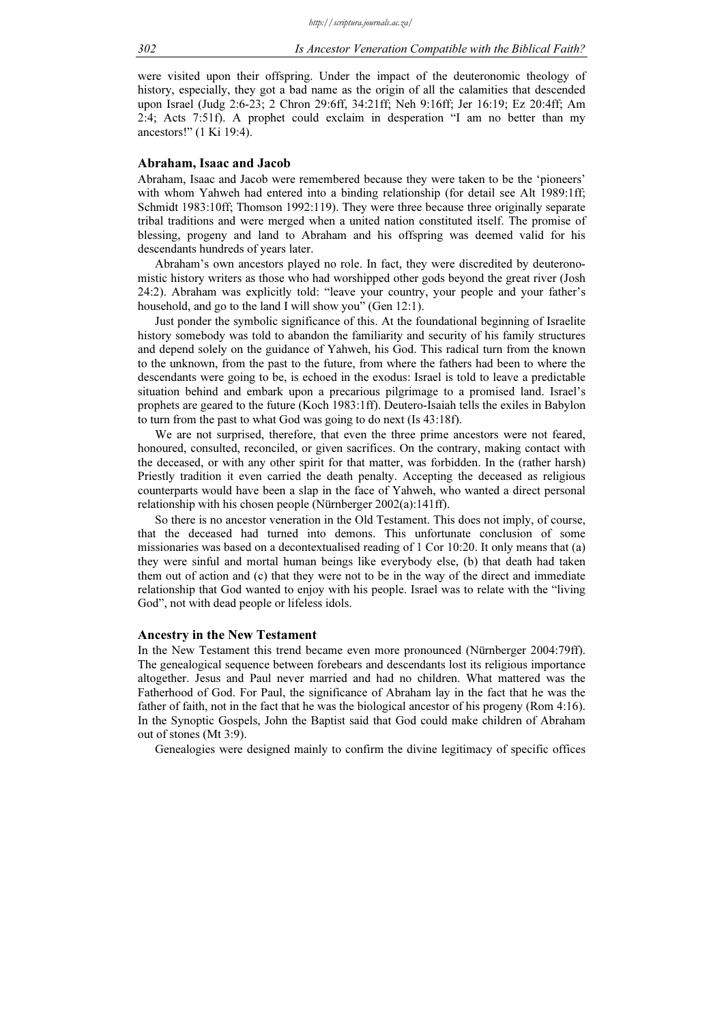were visited upon their offspring. Under the impact of the deuteronomic theology of history, especially, they got a bad name as the origin of all the calamities that descended upon Israel (Judg 2:6-23; 2 Chron 29:6ff, 34:21ff; Neh 9:16ff; Jer 16:19; Ez 20:4ff; Am 2:4; Acts 7:51f). A prophet could exclaim in desperation "I am no better than my ancestors!" (1 Ki 19:4).

# Abraham, Isaac and Jacob

Abraham, Isaac and Jacob were remembered because they were taken to be the 'pioneers' with whom Yahweh had entered into a binding relationship (for detail see Alt 1989:1ff; Schmidt 1983:10ff; Thomson 1992:119). They were three because three originally separate tribal traditions and were merged when a united nation constituted itself. The promise of blessing, progeny and land to Abraham and his offspring was deemed valid for his descendants hundreds of years later.

Abraham's own ancestors played no role. In fact, they were discredited by deuteronomistic history writers as those who had worshipped other gods beyond the great river (Josh 24:2). Abraham was explicitly told: "leave your country, your people and your father's household, and go to the land I will show you" (Gen 12:1).

Just ponder the symbolic significance of this. At the foundational beginning of Israelite history somebody was told to abandon the familiarity and security of his family structures and depend solely on the guidance of Yahweh, his God. This radical turn from the known to the unknown, from the past to the future, from where the fathers had been to where the descendants were going to be, is echoed in the exodus: Israel is told to leave a predictable situation behind and embark upon a precarious pilgrimage to a promised land. Israel's prophets are geared to the future (Koch 1983:1ff). Deutero-Isaiah tells the exiles in Babylon to turn from the past to what God was going to do next (Is 43:18f).

We are not surprised, therefore, that even the three prime ancestors were not feared, honoured, consulted, reconciled, or given sacrifices. On the contrary, making contact with the deceased, or with any other spirit for that matter, was forbidden. In the (rather harsh) Priestly tradition it even carried the death penalty. Accepting the deceased as religious counterparts would have been a slap in the face of Yahweh, who wanted a direct personal relationship with his chosen people (Nürnberger 2002(a):141ff).

So there is no ancestor veneration in the Old Testament. This does not imply, of course, that the deceased had turned into demons. This unfortunate conclusion of some missionaries was based on a decontextualised reading of 1 Cor 10:20. It only means that (a) they were sinful and mortal human beings like everybody else, (b) that death had taken them out of action and (c) that they were not to be in the way of the direct and immediate relationship that God wanted to enjoy with his people. Israel was to relate with the "living God", not with dead people or lifeless idols.

#### Ancestry in the New Testament

In the New Testament this trend became even more pronounced (Nürnberger 2004:79ff). The genealogical sequence between forebears and descendants lost its religious importance altogether. Jesus and Paul never married and had no children. What mattered was the Fatherhood of God. For Paul, the significance of Abraham lay in the fact that he was the father of faith, not in the fact that he was the biological ancestor of his progeny (Rom 4:16). In the Synoptic Gospels, John the Baptist said that God could make children of Abraham out of stones (Mt 3:9).

Genealogies were designed mainly to confirm the divine legitimacy of specific offices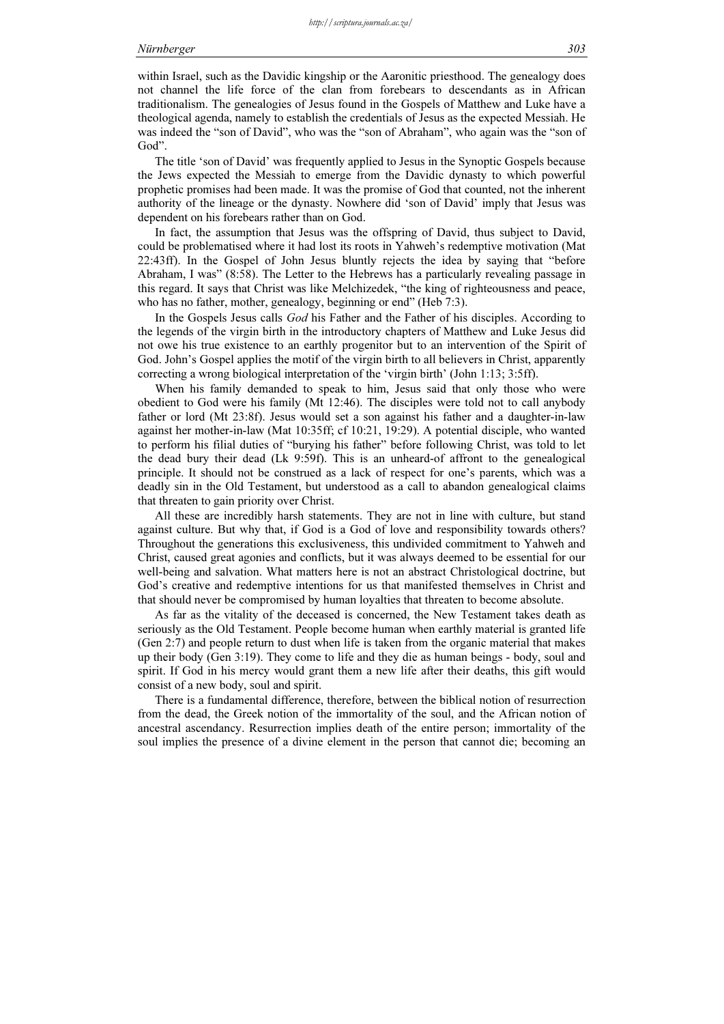within Israel, such as the Davidic kingship or the Aaronitic priesthood. The genealogy does not channel the life force of the clan from forebears to descendants as in African traditionalism. The genealogies of Jesus found in the Gospels of Matthew and Luke have a theological agenda, namely to establish the credentials of Jesus as the expected Messiah. He was indeed the "son of David", who was the "son of Abraham", who again was the "son of God".

The title 'son of David' was frequently applied to Jesus in the Synoptic Gospels because the Jews expected the Messiah to emerge from the Davidic dynasty to which powerful prophetic promises had been made. It was the promise of God that counted, not the inherent authority of the lineage or the dynasty. Nowhere did 'son of David' imply that Jesus was dependent on his forebears rather than on God.

In fact, the assumption that Jesus was the offspring of David, thus subject to David, could be problematised where it had lost its roots in Yahweh's redemptive motivation (Mat 22:43ff). In the Gospel of John Jesus bluntly rejects the idea by saying that "before Abraham, I was" (8:58). The Letter to the Hebrews has a particularly revealing passage in this regard. It says that Christ was like Melchizedek, "the king of righteousness and peace, who has no father, mother, genealogy, beginning or end" (Heb 7:3).

In the Gospels Jesus calls God his Father and the Father of his disciples. According to the legends of the virgin birth in the introductory chapters of Matthew and Luke Jesus did not owe his true existence to an earthly progenitor but to an intervention of the Spirit of God. John's Gospel applies the motif of the virgin birth to all believers in Christ, apparently correcting a wrong biological interpretation of the 'virgin birth' (John 1:13; 3:5ff).

When his family demanded to speak to him, Jesus said that only those who were obedient to God were his family (Mt 12:46). The disciples were told not to call anybody father or lord (Mt 23:8f). Jesus would set a son against his father and a daughter-in-law against her mother-in-law (Mat 10:35ff; cf 10:21, 19:29). A potential disciple, who wanted to perform his filial duties of "burying his father" before following Christ, was told to let the dead bury their dead (Lk 9:59f). This is an unheard-of affront to the genealogical principle. It should not be construed as a lack of respect for one's parents, which was a deadly sin in the Old Testament, but understood as a call to abandon genealogical claims that threaten to gain priority over Christ.

All these are incredibly harsh statements. They are not in line with culture, but stand against culture. But why that, if God is a God of love and responsibility towards others? Throughout the generations this exclusiveness, this undivided commitment to Yahweh and Christ, caused great agonies and conflicts, but it was always deemed to be essential for our well-being and salvation. What matters here is not an abstract Christological doctrine, but God's creative and redemptive intentions for us that manifested themselves in Christ and that should never be compromised by human loyalties that threaten to become absolute.

As far as the vitality of the deceased is concerned, the New Testament takes death as seriously as the Old Testament. People become human when earthly material is granted life (Gen 2:7) and people return to dust when life is taken from the organic material that makes up their body (Gen 3:19). They come to life and they die as human beings - body, soul and spirit. If God in his mercy would grant them a new life after their deaths, this gift would consist of a new body, soul and spirit.

There is a fundamental difference, therefore, between the biblical notion of resurrection from the dead, the Greek notion of the immortality of the soul, and the African notion of ancestral ascendancy. Resurrection implies death of the entire person; immortality of the soul implies the presence of a divine element in the person that cannot die; becoming an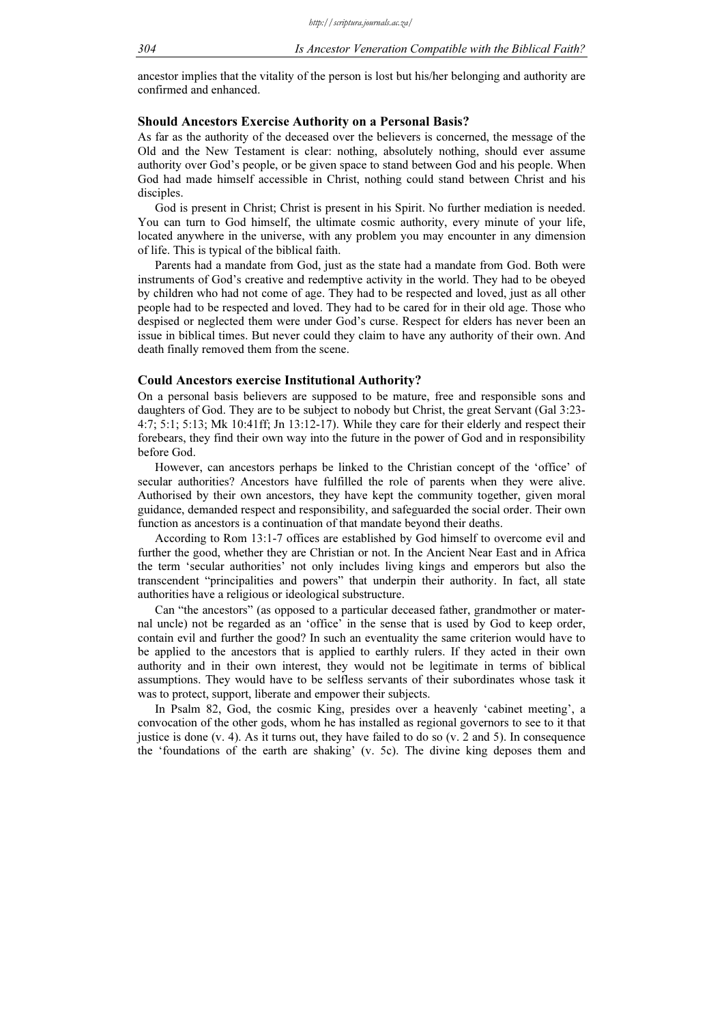ancestor implies that the vitality of the person is lost but his/her belonging and authority are confirmed and enhanced.

#### Should Ancestors Exercise Authority on a Personal Basis?

As far as the authority of the deceased over the believers is concerned, the message of the Old and the New Testament is clear: nothing, absolutely nothing, should ever assume authority over God's people, or be given space to stand between God and his people. When God had made himself accessible in Christ, nothing could stand between Christ and his disciples.

God is present in Christ; Christ is present in his Spirit. No further mediation is needed. You can turn to God himself, the ultimate cosmic authority, every minute of your life, located anywhere in the universe, with any problem you may encounter in any dimension of life. This is typical of the biblical faith.

Parents had a mandate from God, just as the state had a mandate from God. Both were instruments of God's creative and redemptive activity in the world. They had to be obeyed by children who had not come of age. They had to be respected and loved, just as all other people had to be respected and loved. They had to be cared for in their old age. Those who despised or neglected them were under God's curse. Respect for elders has never been an issue in biblical times. But never could they claim to have any authority of their own. And death finally removed them from the scene.

#### Could Ancestors exercise Institutional Authority?

On a personal basis believers are supposed to be mature, free and responsible sons and daughters of God. They are to be subject to nobody but Christ, the great Servant (Gal 3:23- 4:7; 5:1; 5:13; Mk 10:41ff; Jn 13:12-17). While they care for their elderly and respect their forebears, they find their own way into the future in the power of God and in responsibility before God.

However, can ancestors perhaps be linked to the Christian concept of the 'office' of secular authorities? Ancestors have fulfilled the role of parents when they were alive. Authorised by their own ancestors, they have kept the community together, given moral guidance, demanded respect and responsibility, and safeguarded the social order. Their own function as ancestors is a continuation of that mandate beyond their deaths.

According to Rom 13:1-7 offices are established by God himself to overcome evil and further the good, whether they are Christian or not. In the Ancient Near East and in Africa the term 'secular authorities' not only includes living kings and emperors but also the transcendent "principalities and powers" that underpin their authority. In fact, all state authorities have a religious or ideological substructure.

Can "the ancestors" (as opposed to a particular deceased father, grandmother or maternal uncle) not be regarded as an 'office' in the sense that is used by God to keep order, contain evil and further the good? In such an eventuality the same criterion would have to be applied to the ancestors that is applied to earthly rulers. If they acted in their own authority and in their own interest, they would not be legitimate in terms of biblical assumptions. They would have to be selfless servants of their subordinates whose task it was to protect, support, liberate and empower their subjects.

In Psalm 82, God, the cosmic King, presides over a heavenly 'cabinet meeting', a convocation of the other gods, whom he has installed as regional governors to see to it that justice is done  $(v, 4)$ . As it turns out, they have failed to do so  $(v, 2$  and 5). In consequence the 'foundations of the earth are shaking' (v. 5c). The divine king deposes them and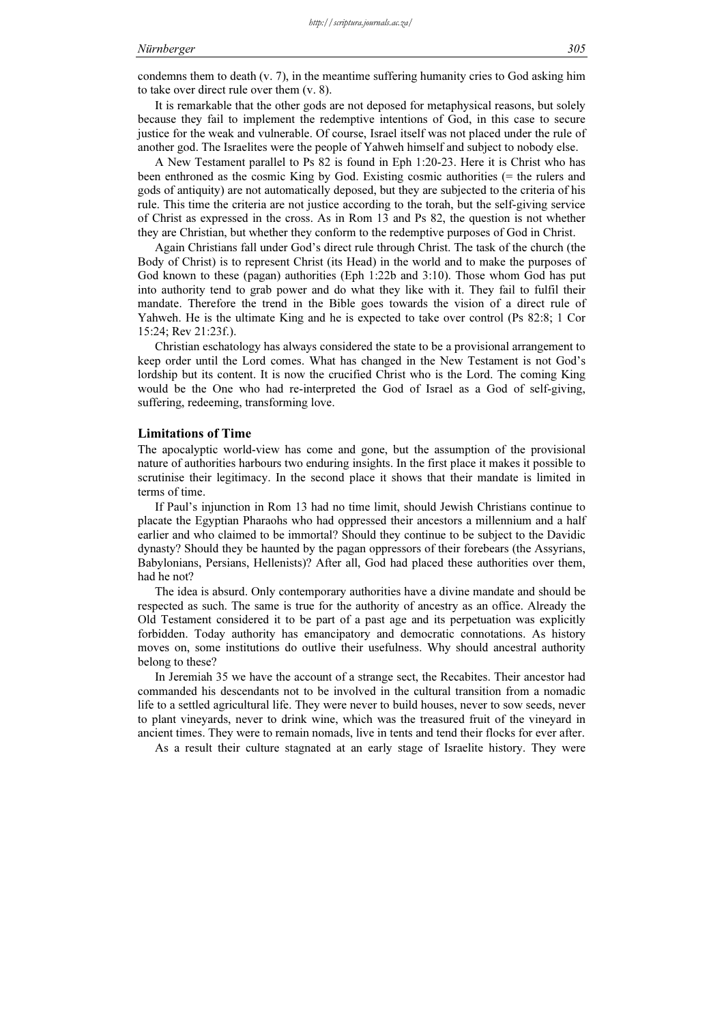condemns them to death  $(v, 7)$ , in the meantime suffering humanity cries to God asking him to take over direct rule over them (v. 8).

It is remarkable that the other gods are not deposed for metaphysical reasons, but solely because they fail to implement the redemptive intentions of God, in this case to secure justice for the weak and vulnerable. Of course, Israel itself was not placed under the rule of another god. The Israelites were the people of Yahweh himself and subject to nobody else.

A New Testament parallel to Ps 82 is found in Eph 1:20-23. Here it is Christ who has been enthroned as the cosmic King by God. Existing cosmic authorities (= the rulers and gods of antiquity) are not automatically deposed, but they are subjected to the criteria of his rule. This time the criteria are not justice according to the torah, but the self-giving service of Christ as expressed in the cross. As in Rom 13 and Ps 82, the question is not whether they are Christian, but whether they conform to the redemptive purposes of God in Christ.

Again Christians fall under God's direct rule through Christ. The task of the church (the Body of Christ) is to represent Christ (its Head) in the world and to make the purposes of God known to these (pagan) authorities (Eph 1:22b and 3:10). Those whom God has put into authority tend to grab power and do what they like with it. They fail to fulfil their mandate. Therefore the trend in the Bible goes towards the vision of a direct rule of Yahweh. He is the ultimate King and he is expected to take over control (Ps 82:8; 1 Cor 15:24; Rev 21:23f.).

Christian eschatology has always considered the state to be a provisional arrangement to keep order until the Lord comes. What has changed in the New Testament is not God's lordship but its content. It is now the crucified Christ who is the Lord. The coming King would be the One who had re-interpreted the God of Israel as a God of self-giving, suffering, redeeming, transforming love.

# Limitations of Time

The apocalyptic world-view has come and gone, but the assumption of the provisional nature of authorities harbours two enduring insights. In the first place it makes it possible to scrutinise their legitimacy. In the second place it shows that their mandate is limited in terms of time.

If Paul's injunction in Rom 13 had no time limit, should Jewish Christians continue to placate the Egyptian Pharaohs who had oppressed their ancestors a millennium and a half earlier and who claimed to be immortal? Should they continue to be subject to the Davidic dynasty? Should they be haunted by the pagan oppressors of their forebears (the Assyrians, Babylonians, Persians, Hellenists)? After all, God had placed these authorities over them, had he not?

The idea is absurd. Only contemporary authorities have a divine mandate and should be respected as such. The same is true for the authority of ancestry as an office. Already the Old Testament considered it to be part of a past age and its perpetuation was explicitly forbidden. Today authority has emancipatory and democratic connotations. As history moves on, some institutions do outlive their usefulness. Why should ancestral authority belong to these?

In Jeremiah 35 we have the account of a strange sect, the Recabites. Their ancestor had commanded his descendants not to be involved in the cultural transition from a nomadic life to a settled agricultural life. They were never to build houses, never to sow seeds, never to plant vineyards, never to drink wine, which was the treasured fruit of the vineyard in ancient times. They were to remain nomads, live in tents and tend their flocks for ever after.

As a result their culture stagnated at an early stage of Israelite history. They were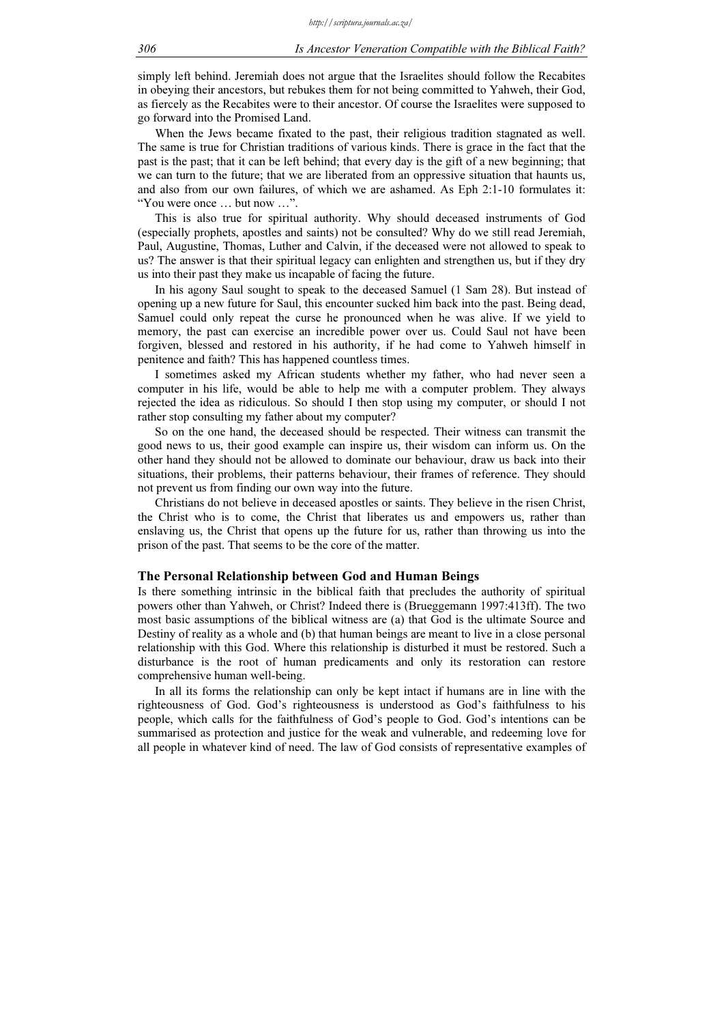simply left behind. Jeremiah does not argue that the Israelites should follow the Recabites in obeying their ancestors, but rebukes them for not being committed to Yahweh, their God, as fiercely as the Recabites were to their ancestor. Of course the Israelites were supposed to go forward into the Promised Land.

When the Jews became fixated to the past, their religious tradition stagnated as well. The same is true for Christian traditions of various kinds. There is grace in the fact that the past is the past; that it can be left behind; that every day is the gift of a new beginning; that we can turn to the future; that we are liberated from an oppressive situation that haunts us, and also from our own failures, of which we are ashamed. As Eph 2:1-10 formulates it: "You were once … but now …".

This is also true for spiritual authority. Why should deceased instruments of God (especially prophets, apostles and saints) not be consulted? Why do we still read Jeremiah, Paul, Augustine, Thomas, Luther and Calvin, if the deceased were not allowed to speak to us? The answer is that their spiritual legacy can enlighten and strengthen us, but if they dry us into their past they make us incapable of facing the future.

In his agony Saul sought to speak to the deceased Samuel (1 Sam 28). But instead of opening up a new future for Saul, this encounter sucked him back into the past. Being dead, Samuel could only repeat the curse he pronounced when he was alive. If we yield to memory, the past can exercise an incredible power over us. Could Saul not have been forgiven, blessed and restored in his authority, if he had come to Yahweh himself in penitence and faith? This has happened countless times.

I sometimes asked my African students whether my father, who had never seen a computer in his life, would be able to help me with a computer problem. They always rejected the idea as ridiculous. So should I then stop using my computer, or should I not rather stop consulting my father about my computer?

So on the one hand, the deceased should be respected. Their witness can transmit the good news to us, their good example can inspire us, their wisdom can inform us. On the other hand they should not be allowed to dominate our behaviour, draw us back into their situations, their problems, their patterns behaviour, their frames of reference. They should not prevent us from finding our own way into the future.

Christians do not believe in deceased apostles or saints. They believe in the risen Christ, the Christ who is to come, the Christ that liberates us and empowers us, rather than enslaving us, the Christ that opens up the future for us, rather than throwing us into the prison of the past. That seems to be the core of the matter.

#### The Personal Relationship between God and Human Beings

Is there something intrinsic in the biblical faith that precludes the authority of spiritual powers other than Yahweh, or Christ? Indeed there is (Brueggemann 1997:413ff). The two most basic assumptions of the biblical witness are (a) that God is the ultimate Source and Destiny of reality as a whole and (b) that human beings are meant to live in a close personal relationship with this God. Where this relationship is disturbed it must be restored. Such a disturbance is the root of human predicaments and only its restoration can restore comprehensive human well-being.

In all its forms the relationship can only be kept intact if humans are in line with the righteousness of God. God's righteousness is understood as God's faithfulness to his people, which calls for the faithfulness of God's people to God. God's intentions can be summarised as protection and justice for the weak and vulnerable, and redeeming love for all people in whatever kind of need. The law of God consists of representative examples of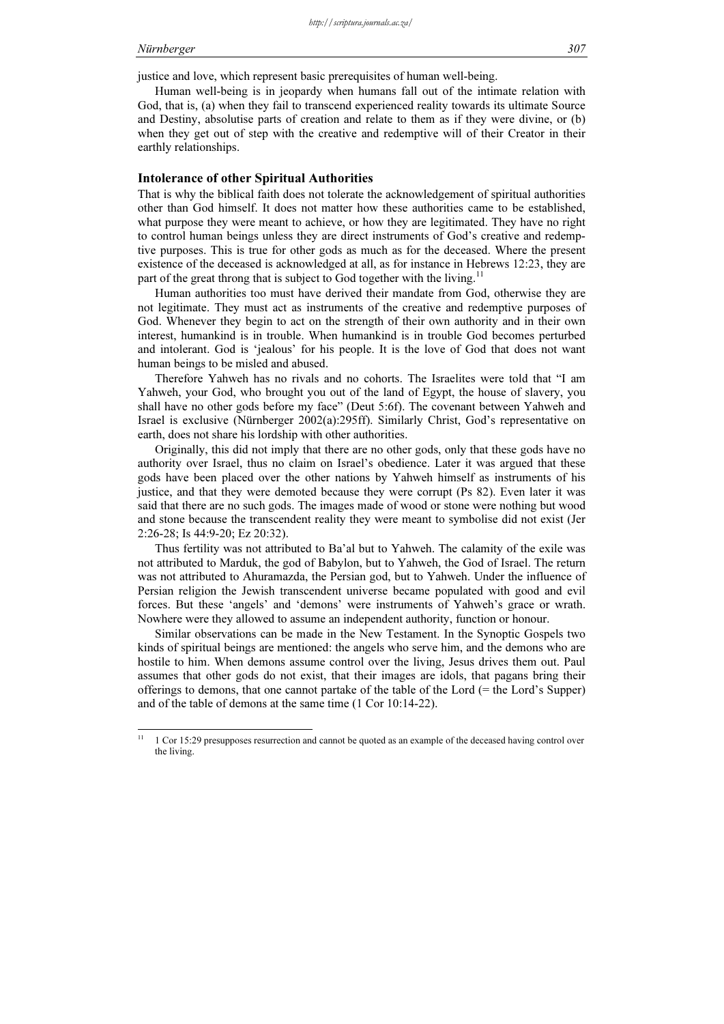justice and love, which represent basic prerequisites of human well-being.

Human well-being is in jeopardy when humans fall out of the intimate relation with God, that is, (a) when they fail to transcend experienced reality towards its ultimate Source and Destiny, absolutise parts of creation and relate to them as if they were divine, or (b) when they get out of step with the creative and redemptive will of their Creator in their earthly relationships.

# Intolerance of other Spiritual Authorities

That is why the biblical faith does not tolerate the acknowledgement of spiritual authorities other than God himself. It does not matter how these authorities came to be established, what purpose they were meant to achieve, or how they are legitimated. They have no right to control human beings unless they are direct instruments of God's creative and redemptive purposes. This is true for other gods as much as for the deceased. Where the present existence of the deceased is acknowledged at all, as for instance in Hebrews 12:23, they are part of the great throng that is subject to God together with the living.<sup>11</sup>

Human authorities too must have derived their mandate from God, otherwise they are not legitimate. They must act as instruments of the creative and redemptive purposes of God. Whenever they begin to act on the strength of their own authority and in their own interest, humankind is in trouble. When humankind is in trouble God becomes perturbed and intolerant. God is 'jealous' for his people. It is the love of God that does not want human beings to be misled and abused.

Therefore Yahweh has no rivals and no cohorts. The Israelites were told that "I am Yahweh, your God, who brought you out of the land of Egypt, the house of slavery, you shall have no other gods before my face" (Deut 5:6f). The covenant between Yahweh and Israel is exclusive (Nürnberger 2002(a):295ff). Similarly Christ, God's representative on earth, does not share his lordship with other authorities.

Originally, this did not imply that there are no other gods, only that these gods have no authority over Israel, thus no claim on Israel's obedience. Later it was argued that these gods have been placed over the other nations by Yahweh himself as instruments of his justice, and that they were demoted because they were corrupt (Ps 82). Even later it was said that there are no such gods. The images made of wood or stone were nothing but wood and stone because the transcendent reality they were meant to symbolise did not exist (Jer 2:26-28; Is 44:9-20; Ez 20:32).

Thus fertility was not attributed to Ba'al but to Yahweh. The calamity of the exile was not attributed to Marduk, the god of Babylon, but to Yahweh, the God of Israel. The return was not attributed to Ahuramazda, the Persian god, but to Yahweh. Under the influence of Persian religion the Jewish transcendent universe became populated with good and evil forces. But these 'angels' and 'demons' were instruments of Yahweh's grace or wrath. Nowhere were they allowed to assume an independent authority, function or honour.

Similar observations can be made in the New Testament. In the Synoptic Gospels two kinds of spiritual beings are mentioned: the angels who serve him, and the demons who are hostile to him. When demons assume control over the living, Jesus drives them out. Paul assumes that other gods do not exist, that their images are idols, that pagans bring their offerings to demons, that one cannot partake of the table of the Lord (= the Lord's Supper) and of the table of demons at the same time (1 Cor 10:14-22).

 $\overline{11}$ <sup>11</sup> 1 Cor 15:29 presupposes resurrection and cannot be quoted as an example of the deceased having control over the living.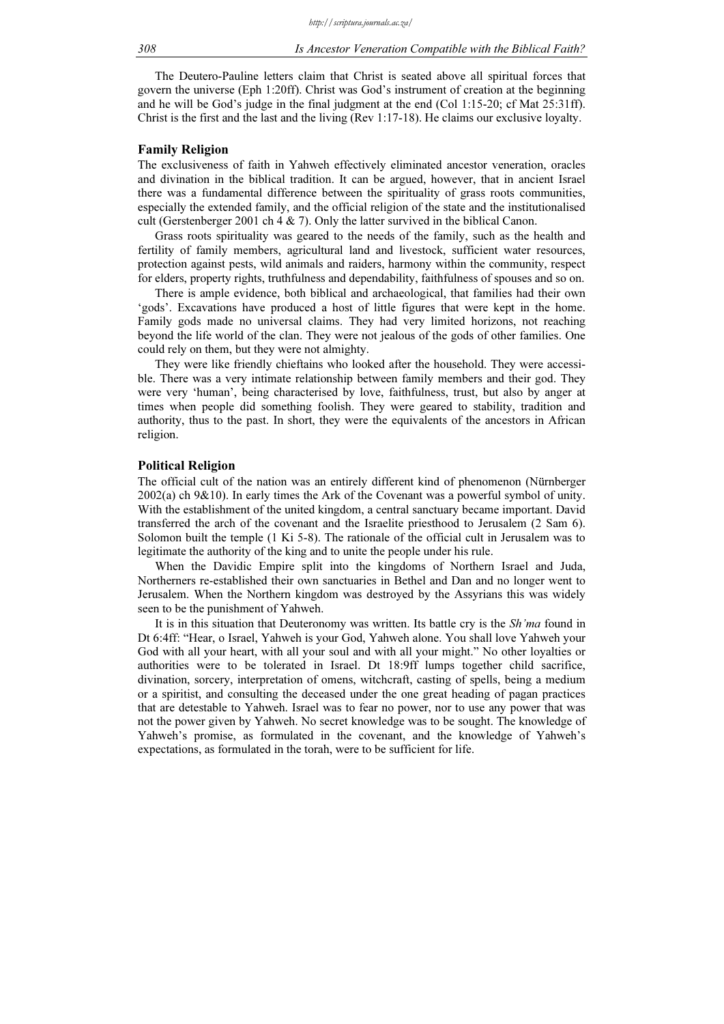The Deutero-Pauline letters claim that Christ is seated above all spiritual forces that govern the universe (Eph 1:20ff). Christ was God's instrument of creation at the beginning and he will be God's judge in the final judgment at the end (Col 1:15-20; cf Mat 25:31ff). Christ is the first and the last and the living (Rev 1:17-18). He claims our exclusive loyalty.

#### Family Religion

The exclusiveness of faith in Yahweh effectively eliminated ancestor veneration, oracles and divination in the biblical tradition. It can be argued, however, that in ancient Israel there was a fundamental difference between the spirituality of grass roots communities, especially the extended family, and the official religion of the state and the institutionalised cult (Gerstenberger 2001 ch 4  $\&$  7). Only the latter survived in the biblical Canon.

Grass roots spirituality was geared to the needs of the family, such as the health and fertility of family members, agricultural land and livestock, sufficient water resources, protection against pests, wild animals and raiders, harmony within the community, respect for elders, property rights, truthfulness and dependability, faithfulness of spouses and so on.

There is ample evidence, both biblical and archaeological, that families had their own 'gods'. Excavations have produced a host of little figures that were kept in the home. Family gods made no universal claims. They had very limited horizons, not reaching beyond the life world of the clan. They were not jealous of the gods of other families. One could rely on them, but they were not almighty.

They were like friendly chieftains who looked after the household. They were accessible. There was a very intimate relationship between family members and their god. They were very 'human', being characterised by love, faithfulness, trust, but also by anger at times when people did something foolish. They were geared to stability, tradition and authority, thus to the past. In short, they were the equivalents of the ancestors in African religion.

#### Political Religion

The official cult of the nation was an entirely different kind of phenomenon (Nürnberger 2002(a) ch 9&10). In early times the Ark of the Covenant was a powerful symbol of unity. With the establishment of the united kingdom, a central sanctuary became important. David transferred the arch of the covenant and the Israelite priesthood to Jerusalem (2 Sam 6). Solomon built the temple (1 Ki 5-8). The rationale of the official cult in Jerusalem was to legitimate the authority of the king and to unite the people under his rule.

When the Davidic Empire split into the kingdoms of Northern Israel and Juda, Northerners re-established their own sanctuaries in Bethel and Dan and no longer went to Jerusalem. When the Northern kingdom was destroyed by the Assyrians this was widely seen to be the punishment of Yahweh.

It is in this situation that Deuteronomy was written. Its battle cry is the Sh'ma found in Dt 6:4ff: "Hear, o Israel, Yahweh is your God, Yahweh alone. You shall love Yahweh your God with all your heart, with all your soul and with all your might." No other loyalties or authorities were to be tolerated in Israel. Dt 18:9ff lumps together child sacrifice, divination, sorcery, interpretation of omens, witchcraft, casting of spells, being a medium or a spiritist, and consulting the deceased under the one great heading of pagan practices that are detestable to Yahweh. Israel was to fear no power, nor to use any power that was not the power given by Yahweh. No secret knowledge was to be sought. The knowledge of Yahweh's promise, as formulated in the covenant, and the knowledge of Yahweh's expectations, as formulated in the torah, were to be sufficient for life.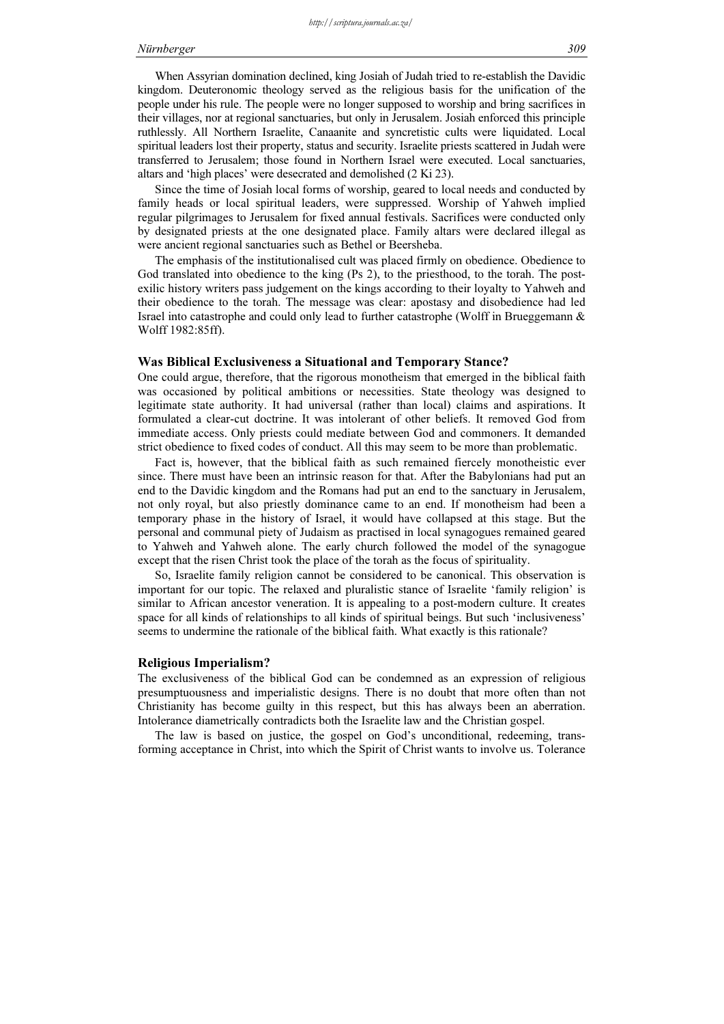When Assyrian domination declined, king Josiah of Judah tried to re-establish the Davidic kingdom. Deuteronomic theology served as the religious basis for the unification of the people under his rule. The people were no longer supposed to worship and bring sacrifices in their villages, nor at regional sanctuaries, but only in Jerusalem. Josiah enforced this principle ruthlessly. All Northern Israelite, Canaanite and syncretistic cults were liquidated. Local spiritual leaders lost their property, status and security. Israelite priests scattered in Judah were transferred to Jerusalem; those found in Northern Israel were executed. Local sanctuaries, altars and 'high places' were desecrated and demolished (2 Ki 23).

Since the time of Josiah local forms of worship, geared to local needs and conducted by family heads or local spiritual leaders, were suppressed. Worship of Yahweh implied regular pilgrimages to Jerusalem for fixed annual festivals. Sacrifices were conducted only by designated priests at the one designated place. Family altars were declared illegal as were ancient regional sanctuaries such as Bethel or Beersheba.

The emphasis of the institutionalised cult was placed firmly on obedience. Obedience to God translated into obedience to the king (Ps 2), to the priesthood, to the torah. The postexilic history writers pass judgement on the kings according to their loyalty to Yahweh and their obedience to the torah. The message was clear: apostasy and disobedience had led Israel into catastrophe and could only lead to further catastrophe (Wolff in Brueggemann & Wolff 1982:85ff).

#### Was Biblical Exclusiveness a Situational and Temporary Stance?

One could argue, therefore, that the rigorous monotheism that emerged in the biblical faith was occasioned by political ambitions or necessities. State theology was designed to legitimate state authority. It had universal (rather than local) claims and aspirations. It formulated a clear-cut doctrine. It was intolerant of other beliefs. It removed God from immediate access. Only priests could mediate between God and commoners. It demanded strict obedience to fixed codes of conduct. All this may seem to be more than problematic.

Fact is, however, that the biblical faith as such remained fiercely monotheistic ever since. There must have been an intrinsic reason for that. After the Babylonians had put an end to the Davidic kingdom and the Romans had put an end to the sanctuary in Jerusalem, not only royal, but also priestly dominance came to an end. If monotheism had been a temporary phase in the history of Israel, it would have collapsed at this stage. But the personal and communal piety of Judaism as practised in local synagogues remained geared to Yahweh and Yahweh alone. The early church followed the model of the synagogue except that the risen Christ took the place of the torah as the focus of spirituality.

So, Israelite family religion cannot be considered to be canonical. This observation is important for our topic. The relaxed and pluralistic stance of Israelite 'family religion' is similar to African ancestor veneration. It is appealing to a post-modern culture. It creates space for all kinds of relationships to all kinds of spiritual beings. But such 'inclusiveness' seems to undermine the rationale of the biblical faith. What exactly is this rationale?

# Religious Imperialism?

The exclusiveness of the biblical God can be condemned as an expression of religious presumptuousness and imperialistic designs. There is no doubt that more often than not Christianity has become guilty in this respect, but this has always been an aberration. Intolerance diametrically contradicts both the Israelite law and the Christian gospel.

The law is based on justice, the gospel on God's unconditional, redeeming, transforming acceptance in Christ, into which the Spirit of Christ wants to involve us. Tolerance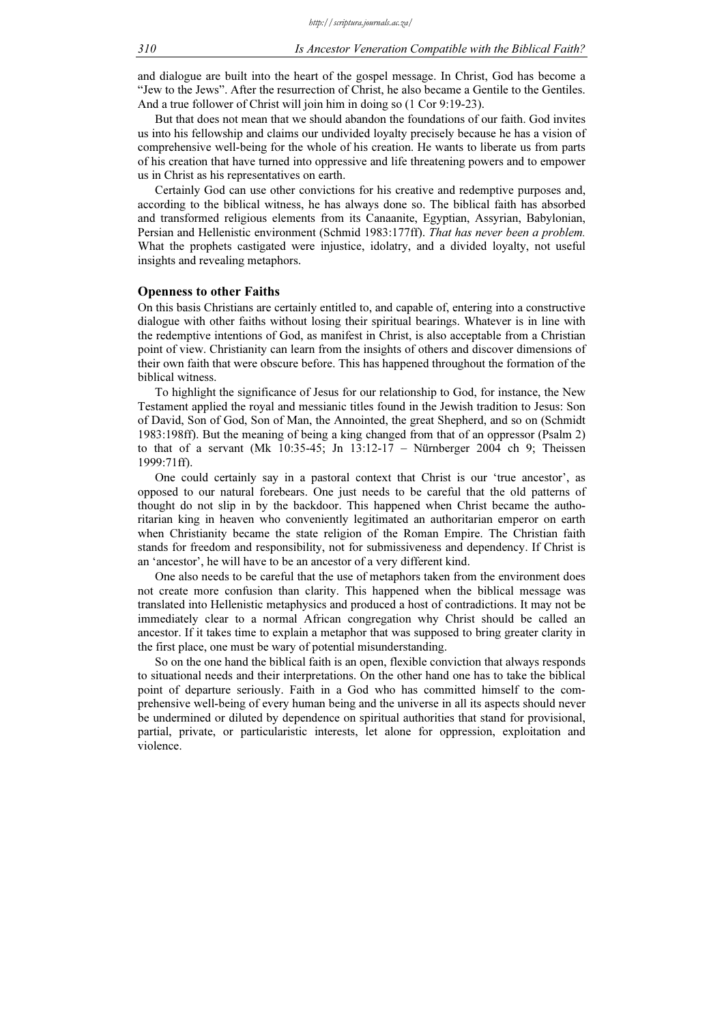and dialogue are built into the heart of the gospel message. In Christ, God has become a "Jew to the Jews". After the resurrection of Christ, he also became a Gentile to the Gentiles. And a true follower of Christ will join him in doing so (1 Cor 9:19-23).

But that does not mean that we should abandon the foundations of our faith. God invites us into his fellowship and claims our undivided loyalty precisely because he has a vision of comprehensive well-being for the whole of his creation. He wants to liberate us from parts of his creation that have turned into oppressive and life threatening powers and to empower us in Christ as his representatives on earth.

Certainly God can use other convictions for his creative and redemptive purposes and, according to the biblical witness, he has always done so. The biblical faith has absorbed and transformed religious elements from its Canaanite, Egyptian, Assyrian, Babylonian, Persian and Hellenistic environment (Schmid 1983:177ff). That has never been a problem. What the prophets castigated were injustice, idolatry, and a divided loyalty, not useful insights and revealing metaphors.

#### Openness to other Faiths

On this basis Christians are certainly entitled to, and capable of, entering into a constructive dialogue with other faiths without losing their spiritual bearings. Whatever is in line with the redemptive intentions of God, as manifest in Christ, is also acceptable from a Christian point of view. Christianity can learn from the insights of others and discover dimensions of their own faith that were obscure before. This has happened throughout the formation of the biblical witness.

To highlight the significance of Jesus for our relationship to God, for instance, the New Testament applied the royal and messianic titles found in the Jewish tradition to Jesus: Son of David, Son of God, Son of Man, the Annointed, the great Shepherd, and so on (Schmidt 1983:198ff). But the meaning of being a king changed from that of an oppressor (Psalm 2) to that of a servant (Mk  $10:35-45$ ; Jn  $13:12-17$  – Nürnberger 2004 ch 9; Theissen 1999:71ff).

One could certainly say in a pastoral context that Christ is our 'true ancestor', as opposed to our natural forebears. One just needs to be careful that the old patterns of thought do not slip in by the backdoor. This happened when Christ became the authoritarian king in heaven who conveniently legitimated an authoritarian emperor on earth when Christianity became the state religion of the Roman Empire. The Christian faith stands for freedom and responsibility, not for submissiveness and dependency. If Christ is an 'ancestor', he will have to be an ancestor of a very different kind.

One also needs to be careful that the use of metaphors taken from the environment does not create more confusion than clarity. This happened when the biblical message was translated into Hellenistic metaphysics and produced a host of contradictions. It may not be immediately clear to a normal African congregation why Christ should be called an ancestor. If it takes time to explain a metaphor that was supposed to bring greater clarity in the first place, one must be wary of potential misunderstanding.

So on the one hand the biblical faith is an open, flexible conviction that always responds to situational needs and their interpretations. On the other hand one has to take the biblical point of departure seriously. Faith in a God who has committed himself to the comprehensive well-being of every human being and the universe in all its aspects should never be undermined or diluted by dependence on spiritual authorities that stand for provisional, partial, private, or particularistic interests, let alone for oppression, exploitation and violence.